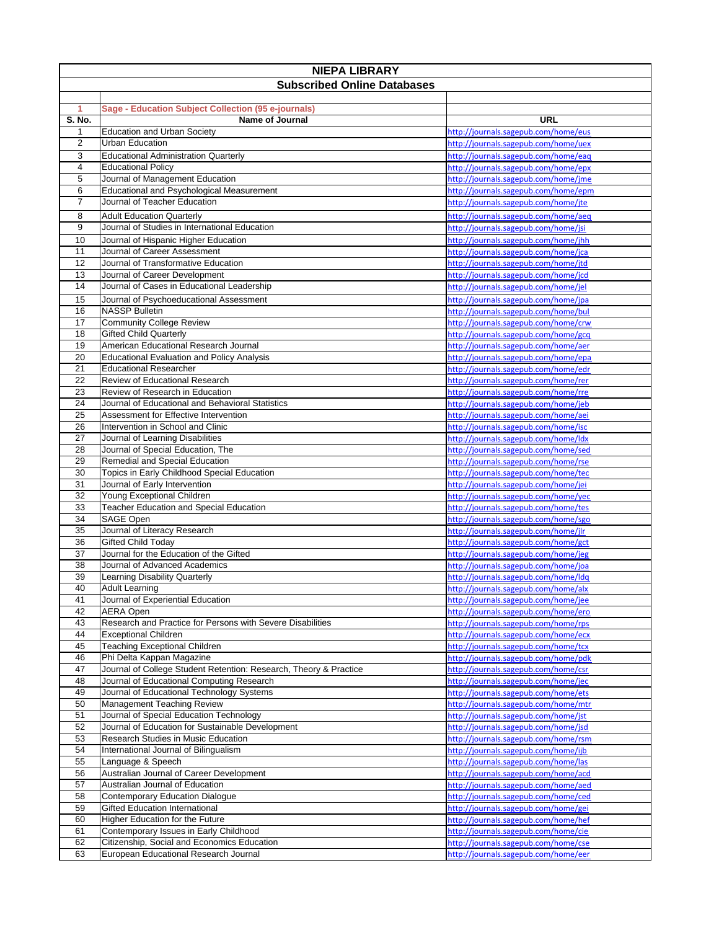| <b>NIEPA LIBRARY</b>               |                                                                                            |                                                                              |  |  |
|------------------------------------|--------------------------------------------------------------------------------------------|------------------------------------------------------------------------------|--|--|
| <b>Subscribed Online Databases</b> |                                                                                            |                                                                              |  |  |
|                                    |                                                                                            |                                                                              |  |  |
| 1                                  | Sage - Education Subject Collection (95 e-journals)                                        |                                                                              |  |  |
| S. No.                             | <b>Name of Journal</b>                                                                     | URL                                                                          |  |  |
| 1<br>$\overline{2}$                | <b>Education and Urban Society</b><br>Urban Education                                      | http://journals.sagepub.com/home/eus<br>http://journals.sagepub.com/home/uex |  |  |
| 3                                  | <b>Educational Administration Quarterly</b>                                                | http://journals.sagepub.com/home/eag                                         |  |  |
| $\overline{\mathbf{4}}$            | <b>Educational Policy</b>                                                                  | http://journals.sagepub.com/home/epx                                         |  |  |
| 5                                  | Journal of Management Education                                                            | http://journals.sagepub.com/home/jme                                         |  |  |
| 6                                  | Educational and Psychological Measurement                                                  | http://journals.sagepub.com/home/epm                                         |  |  |
| $\overline{7}$                     | Journal of Teacher Education                                                               | http://journals.sagepub.com/home/jte                                         |  |  |
| 8                                  | <b>Adult Education Quarterly</b>                                                           | http://journals.sagepub.com/home/aeq                                         |  |  |
| 9                                  | Journal of Studies in International Education                                              | http://journals.sagepub.com/home/jsi                                         |  |  |
| 10                                 | Journal of Hispanic Higher Education                                                       | http://journals.sagepub.com/home/jhh                                         |  |  |
| 11                                 | Journal of Career Assessment                                                               | http://journals.sagepub.com/home/jca                                         |  |  |
| 12                                 | Journal of Transformative Education                                                        | http://journals.sagepub.com/home/jtd                                         |  |  |
| 13                                 | Journal of Career Development                                                              | http://journals.sagepub.com/home/jcd                                         |  |  |
| 14                                 | Journal of Cases in Educational Leadership                                                 | http://journals.sagepub.com/home/jel                                         |  |  |
| 15                                 | Journal of Psychoeducational Assessment                                                    | http://journals.sagepub.com/home/jpa                                         |  |  |
| 16                                 | <b>NASSP Bulletin</b>                                                                      | http://journals.sagepub.com/home/bul                                         |  |  |
| 17                                 | <b>Community College Review</b>                                                            | http://journals.sagepub.com/home/crw                                         |  |  |
| 18                                 | <b>Gifted Child Quarterly</b>                                                              | http://journals.sagepub.com/home/gcq                                         |  |  |
| 19<br>20                           | American Educational Research Journal<br><b>Educational Evaluation and Policy Analysis</b> | http://journals.sagepub.com/home/aer<br>http://journals.sagepub.com/home/epa |  |  |
| 21                                 | <b>Educational Researcher</b>                                                              | http://journals.sagepub.com/home/edr                                         |  |  |
| 22                                 | Review of Educational Research                                                             | http://journals.sagepub.com/home/rer                                         |  |  |
| 23                                 | Review of Research in Education                                                            | http://journals.sagepub.com/home/rre                                         |  |  |
| 24                                 | Journal of Educational and Behavioral Statistics                                           | http://journals.sagepub.com/home/jeb                                         |  |  |
| 25                                 | Assessment for Effective Intervention                                                      | http://journals.sagepub.com/home/aei                                         |  |  |
| 26                                 | Intervention in School and Clinic                                                          | http://journals.sagepub.com/home/isc                                         |  |  |
| 27                                 | Journal of Learning Disabilities                                                           | http://journals.sagepub.com/home/ldx                                         |  |  |
| 28                                 | Journal of Special Education, The                                                          | http://journals.sagepub.com/home/sed                                         |  |  |
| 29                                 | Remedial and Special Education                                                             | http://journals.sagepub.com/home/rse                                         |  |  |
| 30                                 | Topics in Early Childhood Special Education                                                | http://journals.sagepub.com/home/tec                                         |  |  |
| 31<br>32                           | Journal of Early Intervention<br>Young Exceptional Children                                | http://journals.sagepub.com/home/jei                                         |  |  |
| 33                                 | <b>Teacher Education and Special Education</b>                                             | http://journals.sagepub.com/home/yec<br>http://journals.sagepub.com/home/tes |  |  |
| 34                                 | SAGE Open                                                                                  | http://journals.sagepub.com/home/sgo                                         |  |  |
| 35                                 | Journal of Literacy Research                                                               | http://journals.sagepub.com/home/jlr                                         |  |  |
| 36                                 | <b>Gifted Child Today</b>                                                                  | http://journals.sagepub.com/home/gct                                         |  |  |
| $\overline{37}$                    | Journal for the Education of the Gifted                                                    | http://journals.sagepub.com/home/jeg                                         |  |  |
| 38                                 | Journal of Advanced Academics                                                              | http://journals.sagepub.com/home/joa                                         |  |  |
| 39                                 | Learning Disability Quarterly                                                              | http://journals.sagepub.com/home/ldq                                         |  |  |
| 40                                 | <b>Adult Learning</b>                                                                      | http://journals.sagepub.com/home/alx                                         |  |  |
| 41                                 | Journal of Experiential Education                                                          | http://journals.sagepub.com/home/jee                                         |  |  |
| 42                                 | <b>AERA Open</b>                                                                           | http://journals.sagepub.com/home/ero                                         |  |  |
| 43                                 | Research and Practice for Persons with Severe Disabilities                                 | http://journals.sagepub.com/home/rps                                         |  |  |
| 44<br>45                           | <b>Exceptional Children</b><br><b>Teaching Exceptional Children</b>                        | http://journals.sagepub.com/home/ecx<br>http://journals.sagepub.com/home/tcx |  |  |
| 46                                 | Phi Delta Kappan Magazine                                                                  | http://journals.sagepub.com/home/pdk                                         |  |  |
| 47                                 | Journal of College Student Retention: Research, Theory & Practice                          | http://journals.sagepub.com/home/csr                                         |  |  |
| 48                                 | Journal of Educational Computing Research                                                  | http://journals.sagepub.com/home/jec                                         |  |  |
| 49                                 | Journal of Educational Technology Systems                                                  | http://journals.sagepub.com/home/ets                                         |  |  |
| 50                                 | Management Teaching Review                                                                 | http://journals.sagepub.com/home/mtr                                         |  |  |
| 51                                 | Journal of Special Education Technology                                                    | http://journals.sagepub.com/home/jst                                         |  |  |
| 52                                 | Journal of Education for Sustainable Development                                           | http://journals.sagepub.com/home/jsd                                         |  |  |
| 53                                 | Research Studies in Music Education                                                        | http://journals.sagepub.com/home/rsm                                         |  |  |
| 54                                 | International Journal of Bilingualism                                                      | http://journals.sagepub.com/home/ijb                                         |  |  |
| 55                                 | Language & Speech                                                                          | http://journals.sagepub.com/home/las                                         |  |  |
| 56                                 | Australian Journal of Career Development                                                   | http://journals.sagepub.com/home/acd                                         |  |  |
| 57                                 | Australian Journal of Education<br><b>Contemporary Education Dialogue</b>                  | http://journals.sagepub.com/home/aed<br>http://journals.sagepub.com/home/ced |  |  |
| 58<br>59                           | <b>Gifted Education International</b>                                                      | http://journals.sagepub.com/home/gei                                         |  |  |
| 60                                 | Higher Education for the Future                                                            | http://journals.sagepub.com/home/hef                                         |  |  |
| 61                                 | Contemporary Issues in Early Childhood                                                     | http://journals.sagepub.com/home/cie                                         |  |  |
| 62                                 | Citizenship, Social and Economics Education                                                | http://journals.sagepub.com/home/cse                                         |  |  |
| 63                                 | European Educational Research Journal                                                      | http://journals.sagepub.com/home/eer                                         |  |  |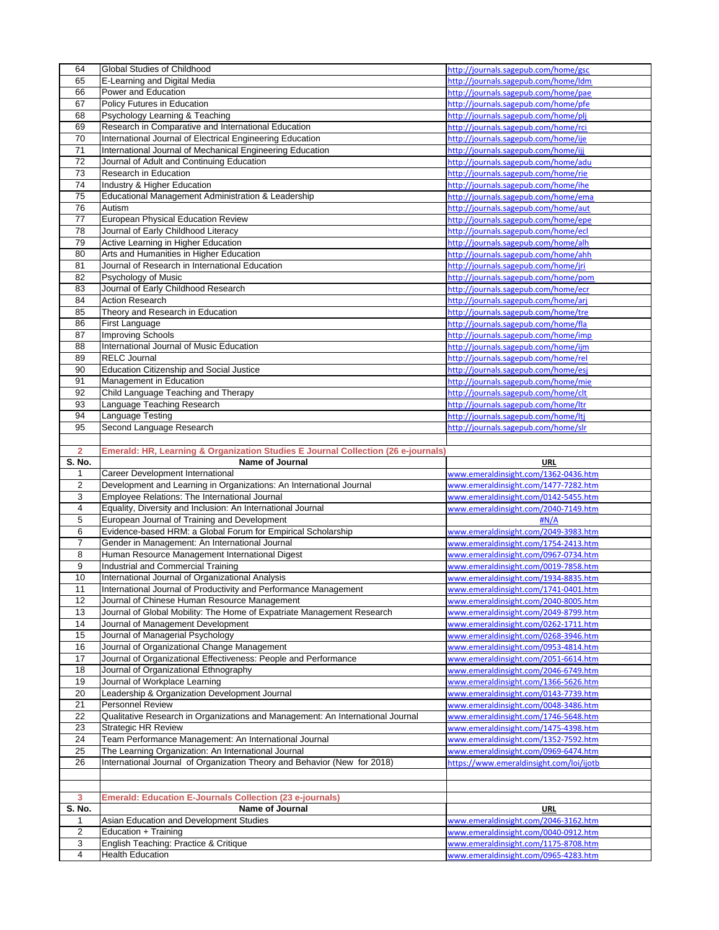|                         | Global Studies of Childhood                                                                                      | http://journals.sagepub.com/home/gsc                                         |
|-------------------------|------------------------------------------------------------------------------------------------------------------|------------------------------------------------------------------------------|
| 65                      | E-Learning and Digital Media                                                                                     | http://journals.sagepub.com/home/ldm                                         |
| 66                      | Power and Education                                                                                              | http://journals.sagepub.com/home/pae                                         |
| 67                      | Policy Futures in Education                                                                                      | http://journals.sagepub.com/home/pfe                                         |
| 68                      | Psychology Learning & Teaching                                                                                   | http://journals.sagepub.com/home/plj                                         |
| 69                      | Research in Comparative and International Education                                                              | http://journals.sagepub.com/home/rci                                         |
| 70                      | International Journal of Electrical Engineering Education                                                        | http://journals.sagepub.com/home/ije                                         |
| 71                      | International Journal of Mechanical Engineering Education                                                        | http://journals.sagepub.com/home/ijj                                         |
| $\overline{72}$         | Journal of Adult and Continuing Education                                                                        | http://journals.sagepub.com/home/adu                                         |
| 73                      | Research in Education                                                                                            | http://journals.sagepub.com/home/rie                                         |
| 74                      | Industry & Higher Education                                                                                      | http://journals.sagepub.com/home/ihe                                         |
| 75                      | Educational Management Administration & Leadership                                                               | http://journals.sagepub.com/home/ema                                         |
| 76                      | Autism                                                                                                           | http://journals.sagepub.com/home/aut                                         |
| 77                      | European Physical Education Review                                                                               | http://journals.sagepub.com/home/epe                                         |
| 78                      | Journal of Early Childhood Literacy                                                                              | http://journals.sagepub.com/home/ecl                                         |
| 79                      | Active Learning in Higher Education                                                                              | http://journals.sagepub.com/home/alh                                         |
| 80                      | Arts and Humanities in Higher Education                                                                          | http://journals.sagepub.com/home/ahh                                         |
| 81                      | Journal of Research in International Education                                                                   | http://journals.sagepub.com/home/jri                                         |
| 82                      | Psychology of Music                                                                                              | http://journals.sagepub.com/home/pom                                         |
| 83                      | Journal of Early Childhood Research<br><b>Action Research</b>                                                    | http://journals.sagepub.com/home/ecr                                         |
| 84                      |                                                                                                                  | http://journals.sagepub.com/home/arj                                         |
| 85                      | Theory and Research in Education<br>First Language                                                               | http://journals.sagepub.com/home/tre                                         |
| 86<br>87                | Improving Schools                                                                                                | http://journals.sagepub.com/home/fla<br>http://journals.sagepub.com/home/imp |
| 88                      | International Journal of Music Education                                                                         |                                                                              |
| 89                      | <b>RELC Journal</b>                                                                                              | http://journals.sagepub.com/home/ijm<br>http://journals.sagepub.com/home/rel |
| 90                      | <b>Education Citizenship and Social Justice</b>                                                                  | http://journals.sagepub.com/home/esj                                         |
| 91                      | Management in Education                                                                                          | http://journals.sagepub.com/home/mie                                         |
| 92                      | Child Language Teaching and Therapy                                                                              | http://journals.sagepub.com/home/clt                                         |
| 93                      | Language Teaching Research                                                                                       | http://journals.sagepub.com/home/ltr                                         |
| 94                      | Language Testing                                                                                                 | http://journals.sagepub.com/home/ltj                                         |
| 95                      | Second Language Research                                                                                         | http://journals.sagepub.com/home/slr                                         |
|                         |                                                                                                                  |                                                                              |
| $\overline{2}$          | Emerald: HR, Learning & Organization Studies E Journal Collection (26 e-journals)                                |                                                                              |
| S. No.                  | Name of Journal                                                                                                  | <b>URL</b>                                                                   |
| 1                       | Career Development International                                                                                 | www.emeraldinsight.com/1362-0436.htm                                         |
| $\overline{2}$          | Development and Learning in Organizations: An International Journal                                              |                                                                              |
|                         |                                                                                                                  |                                                                              |
|                         |                                                                                                                  | www.emeraldinsight.com/1477-7282.htm                                         |
| 3<br>4                  | Employee Relations: The International Journal                                                                    | www.emeraldinsight.com/0142-5455.htm                                         |
| 5                       | Equality, Diversity and Inclusion: An International Journal                                                      | www.emeraldinsight.com/2040-7149.htm<br>H N/A                                |
| 6                       | European Journal of Training and Development                                                                     |                                                                              |
| $\overline{7}$          | Evidence-based HRM: a Global Forum for Empirical Scholarship                                                     | www.emeraldinsight.com/2049-3983.htm<br>www.emeraldinsight.com/1754-2413.htm |
| 8                       | Gender in Management: An International Journal                                                                   | www.emeraldinsight.com/0967-0734.htm                                         |
| 9                       | Human Resource Management International Digest<br>Industrial and Commercial Training                             | www.emeraldinsight.com/0019-7858.htm                                         |
| 10                      | International Journal of Organizational Analysis                                                                 | www.emeraldinsight.com/1934-8835.htm                                         |
| 11                      |                                                                                                                  | www.emeraldinsight.com/1741-0401.htm                                         |
| 12                      | International Journal of Productivity and Performance Management<br>Journal of Chinese Human Resource Management | www.emeraldinsight.com/2040-8005.htm                                         |
| 13                      | Journal of Global Mobility: The Home of Expatriate Management Research                                           | www.emeraldinsight.com/2049-8799.htm                                         |
| 14                      | Journal of Management Development                                                                                | www.emeraldinsight.com/0262-1711.htm                                         |
| 15                      | Journal of Managerial Psychology                                                                                 | www.emeraldinsight.com/0268-3946.htm                                         |
| 16                      | Journal of Organizational Change Management                                                                      | www.emeraldinsight.com/0953-4814.htm                                         |
| 17                      | Journal of Organizational Effectiveness: People and Performance                                                  | www.emeraldinsight.com/2051-6614.htm                                         |
| 18                      | Journal of Organizational Ethnography                                                                            | www.emeraldinsight.com/2046-6749.htm                                         |
| 19                      | Journal of Workplace Learning                                                                                    | www.emeraldinsight.com/1366-5626.htm                                         |
| 20                      | Leadership & Organization Development Journal                                                                    | www.emeraldinsight.com/0143-7739.htm                                         |
| 21                      | <b>Personnel Review</b>                                                                                          | www.emeraldinsight.com/0048-3486.htm                                         |
| 22                      | Qualitative Research in Organizations and Management: An International Journal                                   | www.emeraldinsight.com/1746-5648.htm                                         |
| 23                      | <b>Strategic HR Review</b>                                                                                       | www.emeraldinsight.com/1475-4398.htm                                         |
| 24                      | Team Performance Management: An International Journal                                                            | www.emeraldinsight.com/1352-7592.htm                                         |
| 25                      | The Learning Organization: An International Journal                                                              | www.emeraldinsight.com/0969-6474.htm                                         |
| 26                      | International Journal of Organization Theory and Behavior (New for 2018)                                         | https://www.emeraldinsight.com/loi/ijotb                                     |
|                         |                                                                                                                  |                                                                              |
|                         |                                                                                                                  |                                                                              |
| 3                       | <b>Emerald: Education E-Journals Collection (23 e-journals)</b>                                                  |                                                                              |
| S. No.                  | Name of Journal                                                                                                  | URL                                                                          |
| 1                       | Asian Education and Development Studies                                                                          | www.emeraldinsight.com/2046-3162.htm                                         |
| $\overline{\mathbf{c}}$ | Education + Training                                                                                             | www.emeraldinsight.com/0040-0912.htm                                         |
| 3<br>4                  | English Teaching: Practice & Critique<br><b>Health Education</b>                                                 | www.emeraldinsight.com/1175-8708.htm<br>www.emeraldinsight.com/0965-4283.htm |